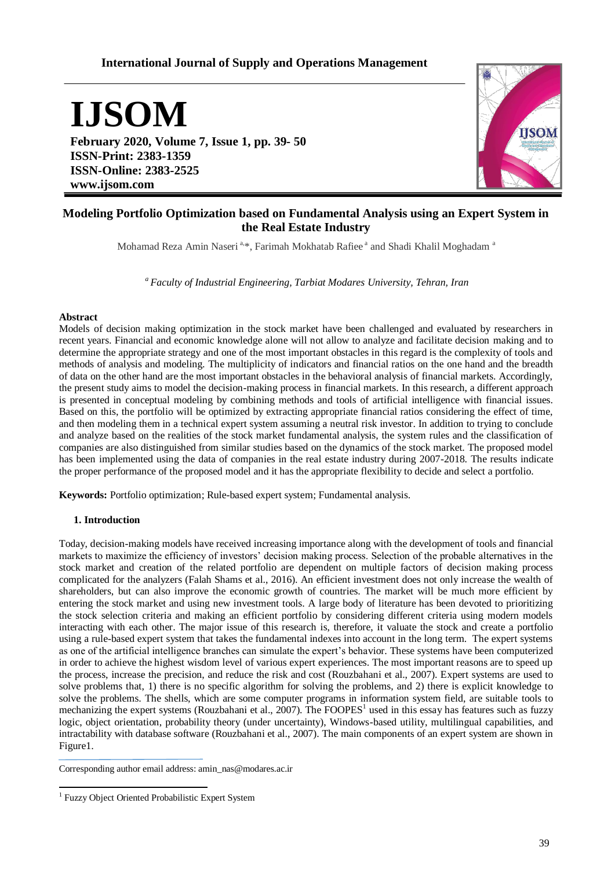# **International Journal of Supply and Operations Management**

**IJSOM**

**February 2020, Volume 7, Issue 1, pp. 39- 50 ISSN-Print: 2383-1359 ISSN-Online: 2383-2525 www.ijsom.com**



## **Modeling Portfolio Optimization based on Fundamental Analysis using an Expert System in the Real Estate Industry**

Mohamad Reza Amin Naseri<sup>a,\*</sup>, Farimah Mokhatab Rafiee<sup>a</sup> and Shadi Khalil Moghadam<sup>a</sup>

*<sup>a</sup>Faculty of Industrial Engineering, Tarbiat Modares University, Tehran, Iran*

### **Abstract**

Models of decision making optimization in the stock market have been challenged and evaluated by researchers in recent years. Financial and economic knowledge alone will not allow to analyze and facilitate decision making and to determine the appropriate strategy and one of the most important obstacles in this regard is the complexity of tools and methods of analysis and modeling. The multiplicity of indicators and financial ratios on the one hand and the breadth of data on the other hand are the most important obstacles in the behavioral analysis of financial markets. Accordingly, the present study aims to model the decision-making process in financial markets. In this research, a different approach is presented in conceptual modeling by combining methods and tools of artificial intelligence with financial issues. Based on this, the portfolio will be optimized by extracting appropriate financial ratios considering the effect of time, and then modeling them in a technical expert system assuming a neutral risk investor. In addition to trying to conclude and analyze based on the realities of the stock market fundamental analysis, the system rules and the classification of companies are also distinguished from similar studies based on the dynamics of the stock market. The proposed model has been implemented using the data of companies in the real estate industry during 2007-2018. The results indicate the proper performance of the proposed model and it has the appropriate flexibility to decide and select a portfolio.

**Keywords:** Portfolio optimization; Rule-based expert system; Fundamental analysis.

## **1. Introduction**

Today, decision-making models have received increasing importance along with the development of tools and financial markets to maximize the efficiency of investors' decision making process. Selection of the probable alternatives in the stock market and creation of the related portfolio are dependent on multiple factors of decision making process complicated for the analyzers (Falah Shams et al., 2016). An efficient investment does not only increase the wealth of shareholders, but can also improve the economic growth of countries. The market will be much more efficient by entering the stock market and using new investment tools. A large body of literature has been devoted to prioritizing the stock selection criteria and making an efficient portfolio by considering different criteria using modern models interacting with each other. The major issue of this research is, therefore, it valuate the stock and create a portfolio using a rule-based expert system that takes the fundamental indexes into account in the long term. The expert systems as one of the artificial intelligence branches can simulate the expert's behavior. These systems have been computerized in order to achieve the highest wisdom level of various expert experiences. The most important reasons are to speed up the process, increase the precision, and reduce the risk and cost (Rouzbahani et al., 2007). Expert systems are used to solve problems that, 1) there is no specific algorithm for solving the problems, and 2) there is explicit knowledge to solve the problems. The shells, which are some computer programs in information system field, are suitable tools to mechanizing the expert systems (Rouzbahani et al.,  $2007$ ). The FOOPES<sup>1</sup> used in this essay has features such as fuzzy logic, object orientation, probability theory (under uncertainty), Windows-based utility, multilingual capabilities, and intractability with database software (Rouzbahani et al., 2007). The main components of an expert system are shown in Figure1.

Corresponding author email address: amin\_nas@modares.ac.ir

 $\overline{a}$ <sup>1</sup> Fuzzy Object Oriented Probabilistic Expert System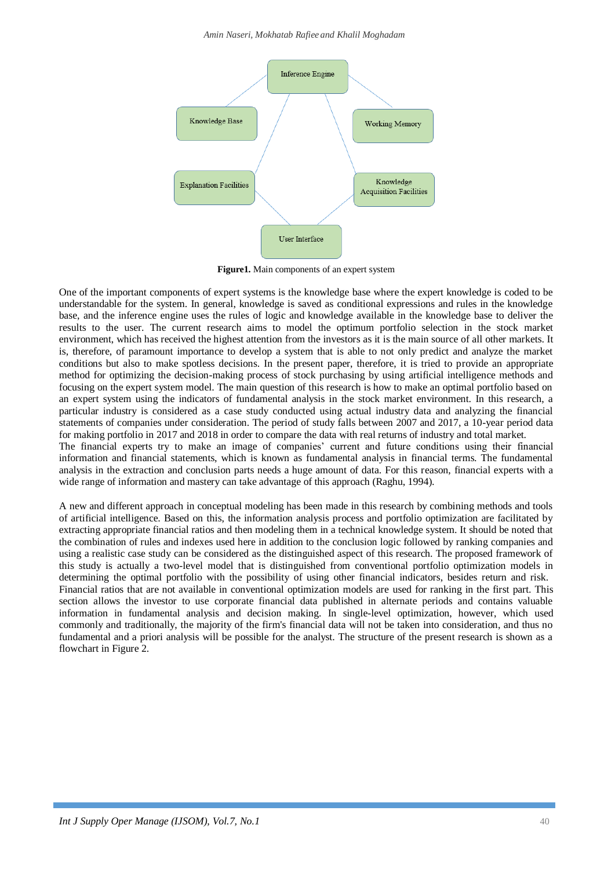*Amin Naseri, Mokhatab Rafiee and Khalil Moghadam*



**Figure1.** Main components of an expert system

One of the important components of expert systems is the knowledge base where the expert knowledge is coded to be understandable for the system. In general, knowledge is saved as conditional expressions and rules in the knowledge base, and the inference engine uses the rules of logic and knowledge available in the knowledge base to deliver the results to the user. The current research aims to model the optimum portfolio selection in the stock market environment, which has received the highest attention from the investors as it is the main source of all other markets. It is, therefore, of paramount importance to develop a system that is able to not only predict and analyze the market conditions but also to make spotless decisions. In the present paper, therefore, it is tried to provide an appropriate method for optimizing the decision-making process of stock purchasing by using artificial intelligence methods and focusing on the expert system model. The main question of this research is how to make an optimal portfolio based on an expert system using the indicators of fundamental analysis in the stock market environment. In this research, a particular industry is considered as a case study conducted using actual industry data and analyzing the financial statements of companies under consideration. The period of study falls between 2007 and 2017, a 10-year period data for making portfolio in 2017 and 2018 in order to compare the data with real returns of industry and total market. The financial experts try to make an image of companies' current and future conditions using their financial information and financial statements, which is known as fundamental analysis in financial terms. The fundamental analysis in the extraction and conclusion parts needs a huge amount of data. For this reason, financial experts with a wide range of information and mastery can take advantage of this approach (Raghu, 1994).

A new and different approach in conceptual modeling has been made in this research by combining methods and tools of artificial intelligence. Based on this, the information analysis process and portfolio optimization are facilitated by extracting appropriate financial ratios and then modeling them in a technical knowledge system. It should be noted that the combination of rules and indexes used here in addition to the conclusion logic followed by ranking companies and using a realistic case study can be considered as the distinguished aspect of this research. The proposed framework of this study is actually a two-level model that is distinguished from conventional portfolio optimization models in determining the optimal portfolio with the possibility of using other financial indicators, besides return and risk. Financial ratios that are not available in conventional optimization models are used for ranking in the first part. This section allows the investor to use corporate financial data published in alternate periods and contains valuable information in fundamental analysis and decision making. In single-level optimization, however, which used commonly and traditionally, the majority of the firm's financial data will not be taken into consideration, and thus no fundamental and a priori analysis will be possible for the analyst. The structure of the present research is shown as a flowchart in Figure 2.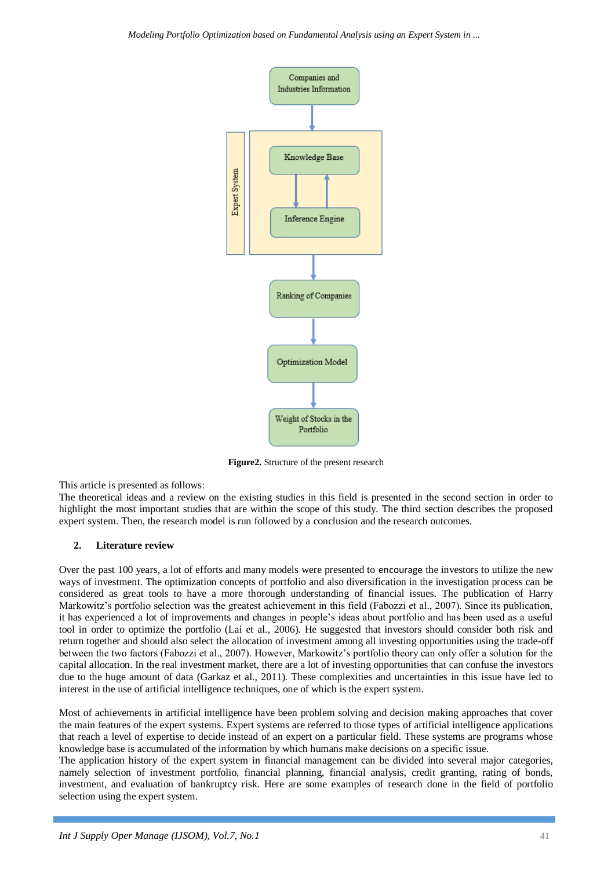

**Figure2.** Structure of the present research

This article is presented as follows:

The theoretical ideas and a review on the existing studies in this field is presented in the second section in order to highlight the most important studies that are within the scope of this study. The third section describes the proposed expert system. Then, the research model is run followed by a conclusion and the research outcomes.

## **2. Literature review**

Over the past 100 years, a lot of efforts and many models were presented to encourage the investors to utilize the new ways of investment. The optimization concepts of portfolio and also diversification in the investigation process can be considered as great tools to have a more thorough understanding of financial issues. The publication of Harry Markowitz's portfolio selection was the greatest achievement in this field (Fabozzi et al., 2007). Since its publication, it has experienced a lot of improvements and changes in people's ideas about portfolio and has been used as a useful tool in order to optimize the portfolio (Lai et al., 2006). He suggested that investors should consider both risk and return together and should also select the allocation of investment among all investing opportunities using the trade-off between the two factors (Fabozzi et al., 2007). However, Markowitz's portfolio theory can only offer a solution for the capital allocation. In the real investment market, there are a lot of investing opportunities that can confuse the investors due to the huge amount of data (Garkaz et al., 2011). These complexities and uncertainties in this issue have led to interest in the use of artificial intelligence techniques, one of which is the expert system.

Most of achievements in artificial intelligence have been problem solving and decision making approaches that cover the main features of the expert systems. Expert systems are referred to those types of artificial intelligence applications that reach a level of expertise to decide instead of an expert on a particular field. These systems are programs whose knowledge base is accumulated of the information by which humans make decisions on a specific issue.

The application history of the expert system in financial management can be divided into several major categories, namely selection of investment portfolio, financial planning, financial analysis, credit granting, rating of bonds, investment, and evaluation of bankruptcy risk. Here are some examples of research done in the field of portfolio selection using the expert system.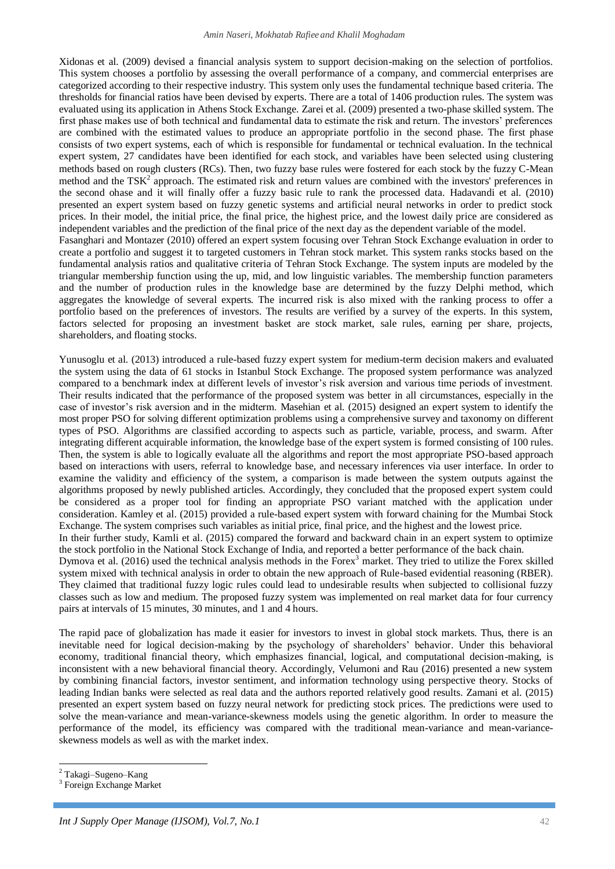Xidonas et al. (2009) devised a financial analysis system to support decision-making on the selection of portfolios. This system chooses a portfolio by assessing the overall performance of a company, and commercial enterprises are categorized according to their respective industry. This system only uses the fundamental technique based criteria. The thresholds for financial ratios have been devised by experts. There are a total of 1406 production rules. The system was evaluated using its application in Athens Stock Exchange. Zarei et al. (2009) presented a two-phase skilled system. The first phase makes use of both technical and fundamental data to estimate the risk and return. The investors' preferences are combined with the estimated values to produce an appropriate portfolio in the second phase. The first phase consists of two expert systems, each of which is responsible for fundamental or technical evaluation. In the technical expert system, 27 candidates have been identified for each stock, and variables have been selected using clustering methods based on rough clusters (RCs). Then, two fuzzy base rules were fostered for each stock by the fuzzy C-Mean method and the  $TSK<sup>2</sup>$  approach. The estimated risk and return values are combined with the investors' preferences in the second ohase and it will finally offer a fuzzy basic rule to rank the processed data. Hadavandi et al. (2010) presented an expert system based on fuzzy genetic systems and artificial neural networks in order to predict stock prices. In their model, the initial price, the final price, the highest price, and the lowest daily price are considered as independent variables and the prediction of the final price of the next day as the dependent variable of the model. Fasanghari and Montazer (2010) offered an expert system focusing over Tehran Stock Exchange evaluation in order to create a portfolio and suggest it to targeted customers in Tehran stock market. This system ranks stocks based on the fundamental analysis ratios and qualitative criteria of Tehran Stock Exchange. The system inputs are modeled by the triangular membership function using the up, mid, and low linguistic variables. The membership function parameters and the number of production rules in the knowledge base are determined by the fuzzy Delphi method, which aggregates the knowledge of several experts. The incurred risk is also mixed with the ranking process to offer a portfolio based on the preferences of investors. The results are verified by a survey of the experts. In this system, factors selected for proposing an investment basket are stock market, sale rules, earning per share, projects,

shareholders, and floating stocks.

Yunusoglu et al. (2013) introduced a rule-based fuzzy expert system for medium-term decision makers and evaluated the system using the data of 61 stocks in Istanbul Stock Exchange. The proposed system performance was analyzed compared to a benchmark index at different levels of investor's risk aversion and various time periods of investment. Their results indicated that the performance of the proposed system was better in all circumstances, especially in the case of investor's risk aversion and in the midterm. Masehian et al. (2015) designed an expert system to identify the most proper PSO for solving different optimization problems using a comprehensive survey and taxonomy on different types of PSO. Algorithms are classified according to aspects such as particle, variable, process, and swarm. After integrating different acquirable information, the knowledge base of the expert system is formed consisting of 100 rules. Then, the system is able to logically evaluate all the algorithms and report the most appropriate PSO-based approach based on interactions with users, referral to knowledge base, and necessary inferences via user interface. In order to examine the validity and efficiency of the system, a comparison is made between the system outputs against the algorithms proposed by newly published articles. Accordingly, they concluded that the proposed expert system could be considered as a proper tool for finding an appropriate PSO variant matched with the application under consideration. Kamley et al. (2015) provided a rule-based expert system with forward chaining for the Mumbai Stock Exchange. The system comprises such variables as initial price, final price, and the highest and the lowest price. In their further study, Kamli et al. (2015) compared the forward and backward chain in an expert system to optimize the stock portfolio in the National Stock Exchange of India, and reported a better performance of the back chain. Dymova et al. (2016) used the technical analysis methods in the Forex<sup>3</sup> market. They tried to utilize the Forex skilled system mixed with technical analysis in order to obtain the new approach of Rule-based evidential reasoning (RBER). They claimed that traditional fuzzy logic rules could lead to undesirable results when subjected to collisional fuzzy classes such as low and medium. The proposed fuzzy system was implemented on real market data for four currency pairs at intervals of 15 minutes, 30 minutes, and 1 and 4 hours.

The rapid pace of globalization has made it easier for investors to invest in global stock markets. Thus, there is an inevitable need for logical decision-making by the psychology of shareholders' behavior. Under this behavioral economy, traditional financial theory, which emphasizes financial, logical, and computational decision-making, is inconsistent with a new behavioral financial theory. Accordingly, Velumoni and Rau (2016) presented a new system by combining financial factors, investor sentiment, and information technology using perspective theory. Stocks of leading Indian banks were selected as real data and the authors reported relatively good results. Zamani et al. (2015) presented an expert system based on fuzzy neural network for predicting stock prices. The predictions were used to solve the mean-variance and mean-variance-skewness models using the genetic algorithm. In order to measure the performance of the model, its efficiency was compared with the traditional mean-variance and mean-varianceskewness models as well as with the market index.

 $\overline{a}$ 

<sup>&</sup>lt;sup>2</sup> Takagi–Sugeno–Kang

<sup>3</sup> Foreign Exchange Market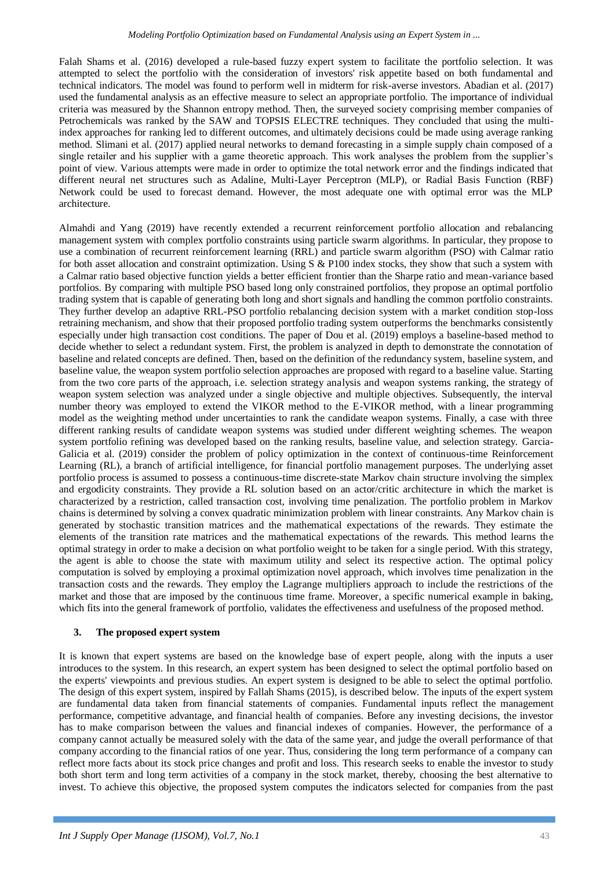Falah Shams et al. (2016) developed a rule-based fuzzy expert system to facilitate the portfolio selection. It was attempted to select the portfolio with the consideration of investors' risk appetite based on both fundamental and technical indicators. The model was found to perform well in midterm for risk-averse investors. Abadian et al. (2017) used the fundamental analysis as an effective measure to select an appropriate portfolio. The importance of individual criteria was measured by the Shannon entropy method. Then, the surveyed society comprising member companies of Petrochemicals was ranked by the SAW and TOPSIS ELECTRE techniques. They concluded that using the multiindex approaches for ranking led to different outcomes, and ultimately decisions could be made using average ranking method. Slimani et al. (2017) applied neural networks to demand forecasting in a simple supply chain composed of a single retailer and his supplier with a game theoretic approach. This work analyses the problem from the supplier's point of view. Various attempts were made in order to optimize the total network error and the findings indicated that different neural net structures such as Adaline, Multi-Layer Perceptron (MLP), or Radial Basis Function (RBF) Network could be used to forecast demand. However, the most adequate one with optimal error was the MLP architecture.

Almahdi and Yang (2019) have recently extended a recurrent reinforcement portfolio allocation and rebalancing management system with complex portfolio constraints using particle swarm algorithms. In particular, they propose to use a combination of recurrent reinforcement learning (RRL) and particle swarm algorithm (PSO) with Calmar ratio for both asset allocation and constraint optimization. Using S & P100 index stocks, they show that such a system with a Calmar ratio based objective function yields a better efficient frontier than the Sharpe ratio and mean-variance based portfolios. By comparing with multiple PSO based long only constrained portfolios, they propose an optimal portfolio trading system that is capable of generating both long and short signals and handling the common portfolio constraints. They further develop an adaptive RRL-PSO portfolio rebalancing decision system with a market condition stop-loss retraining mechanism, and show that their proposed portfolio trading system outperforms the benchmarks consistently especially under high transaction cost conditions. The paper of Dou et al. (2019) employs a baseline-based method to decide whether to select a redundant system. First, the problem is analyzed in depth to demonstrate the connotation of baseline and related concepts are defined. Then, based on the definition of the redundancy system, baseline system, and baseline value, the weapon system portfolio selection approaches are proposed with regard to a baseline value. Starting from the two core parts of the approach, i.e. selection strategy analysis and weapon systems ranking, the strategy of weapon system selection was analyzed under a single objective and multiple objectives. Subsequently, the interval number theory was employed to extend the VIKOR method to the E-VIKOR method, with a linear programming model as the weighting method under uncertainties to rank the candidate weapon systems. Finally, a case with three different ranking results of candidate weapon systems was studied under different weighting schemes. The weapon system portfolio refining was developed based on the ranking results, baseline value, and selection strategy. Garcia-Galicia et al. (2019) consider the problem of policy optimization in the context of continuous-time Reinforcement Learning (RL), a branch of artificial intelligence, for financial portfolio management purposes. The underlying asset portfolio process is assumed to possess a continuous-time discrete-state Markov chain structure involving the simplex and ergodicity constraints. They provide a RL solution based on an actor/critic architecture in which the market is characterized by a restriction, called transaction cost, involving time penalization. The portfolio problem in Markov chains is determined by solving a convex quadratic minimization problem with linear constraints. Any Markov chain is generated by stochastic transition matrices and the mathematical expectations of the rewards. They estimate the elements of the transition rate matrices and the mathematical expectations of the rewards. This method learns the optimal strategy in order to make a decision on what portfolio weight to be taken for a single period. With this strategy, the agent is able to choose the state with maximum utility and select its respective action. The optimal policy computation is solved by employing a proximal optimization novel approach, which involves time penalization in the transaction costs and the rewards. They employ the Lagrange multipliers approach to include the restrictions of the market and those that are imposed by the continuous time frame. Moreover, a specific numerical example in baking, which fits into the general framework of portfolio, validates the effectiveness and usefulness of the proposed method.

## **3. The proposed expert system**

It is known that expert systems are based on the knowledge base of expert people, along with the inputs a user introduces to the system. In this research, an expert system has been designed to select the optimal portfolio based on the experts' viewpoints and previous studies. An expert system is designed to be able to select the optimal portfolio. The design of this expert system, inspired by Fallah Shams (2015), is described below. The inputs of the expert system are fundamental data taken from financial statements of companies. Fundamental inputs reflect the management performance, competitive advantage, and financial health of companies. Before any investing decisions, the investor has to make comparison between the values and financial indexes of companies. However, the performance of a company cannot actually be measured solely with the data of the same year, and judge the overall performance of that company according to the financial ratios of one year. Thus, considering the long term performance of a company can reflect more facts about its stock price changes and profit and loss. This research seeks to enable the investor to study both short term and long term activities of a company in the stock market, thereby, choosing the best alternative to invest. To achieve this objective, the proposed system computes the indicators selected for companies from the past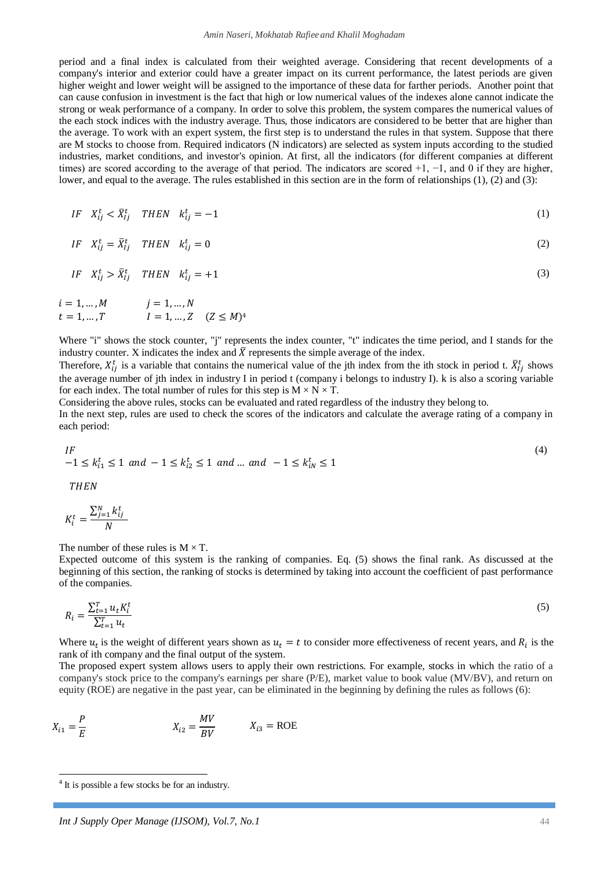period and a final index is calculated from their weighted average. Considering that recent developments of a company's interior and exterior could have a greater impact on its current performance, the latest periods are given higher weight and lower weight will be assigned to the importance of these data for farther periods. Another point that can cause confusion in investment is the fact that high or low numerical values of the indexes alone cannot indicate the strong or weak performance of a company. In order to solve this problem, the system compares the numerical values of the each stock indices with the industry average. Thus, those indicators are considered to be better that are higher than the average. To work with an expert system, the first step is to understand the rules in that system. Suppose that there are M stocks to choose from. Required indicators (N indicators) are selected as system inputs according to the studied industries, market conditions, and investor's opinion. At first, all the indicators (for different companies at different times) are scored according to the average of that period. The indicators are scored +1, −1, and 0 if they are higher, lower, and equal to the average. The rules established in this section are in the form of relationships (1), (2) and (3):

$$
IF \quad X_{ij}^t < \bar{X}_{lj}^t \quad THEN \quad k_{ij}^t = -1 \tag{1}
$$

$$
IF \tX_{ij}^t = \bar{X}_{ij}^t \tTHEN \tk_{ij}^t = 0 \t(2)
$$

$$
IF \tX_{ij}^t > \bar{X}_{ij}^t \tTHEN \tk_{ij}^t = +1
$$
\n<sup>(3)</sup>

$$
i = 1, ..., M
$$
  
\n $j = 1, ..., N$   
\n $i = 1, ..., T$   
\n $l = 1, ..., Z$   $(Z \le M)^4$ 

Where "i" shows the stock counter, "j" represents the index counter, "t" indicates the time period, and I stands for the industry counter. X indicates the index and  $\bar{X}$  represents the simple average of the index.

Therefore,  $X_{ij}^t$  is a variable that contains the numerical value of the jth index from the ith stock in period t.  $\bar{X}_{ij}^t$  shows the average number of jth index in industry I in period t (company i belongs to industry I). k is also a scoring variable for each index. The total number of rules for this step is  $M \times N \times T$ .

Considering the above rules, stocks can be evaluated and rated regardless of the industry they belong to. In the next step, rules are used to check the scores of the indicators and calculate the average rating of a company in each period:

$$
IF
$$
\n
$$
-1 \le k_{i1}^t \le 1 \text{ and } -1 \le k_{i2}^t \le 1 \text{ and } ... \text{ and } -1 \le k_{iN}^t \le 1
$$
\n
$$
THEN
$$
\n
$$
K_i^t = \frac{\sum_{j=1}^{N} k_{ij}^t}{N}
$$
\n
$$
(4)
$$

The number of these rules is  $M \times T$ .

 $\boldsymbol{N}$ 

Expected outcome of this system is the ranking of companies. Eq. (5) shows the final rank. As discussed at the beginning of this section, the ranking of stocks is determined by taking into account the coefficient of past performance of the companies.

$$
R_{i} = \frac{\sum_{t=1}^{T} u_{t} K_{i}^{t}}{\sum_{t=1}^{T} u_{t}} \tag{5}
$$

Where  $u_t$  is the weight of different years shown as  $u_t = t$  to consider more effectiveness of recent years, and  $R_i$  is the rank of ith company and the final output of the system.

The proposed expert system allows users to apply their own restrictions. For example, stocks in which the ratio of a company's stock price to the company's earnings per share (P/E), market value to book value (MV/BV), and return on equity (ROE) are negative in the past year, can be eliminated in the beginning by defining the rules as follows (6):

$$
X_{i1} = \frac{P}{E}
$$
 
$$
X_{i2} = \frac{MV}{BV}
$$
 
$$
X_{i3} = \text{ROE}
$$

 $\overline{a}$ 

<sup>4</sup> It is possible a few stocks be for an industry.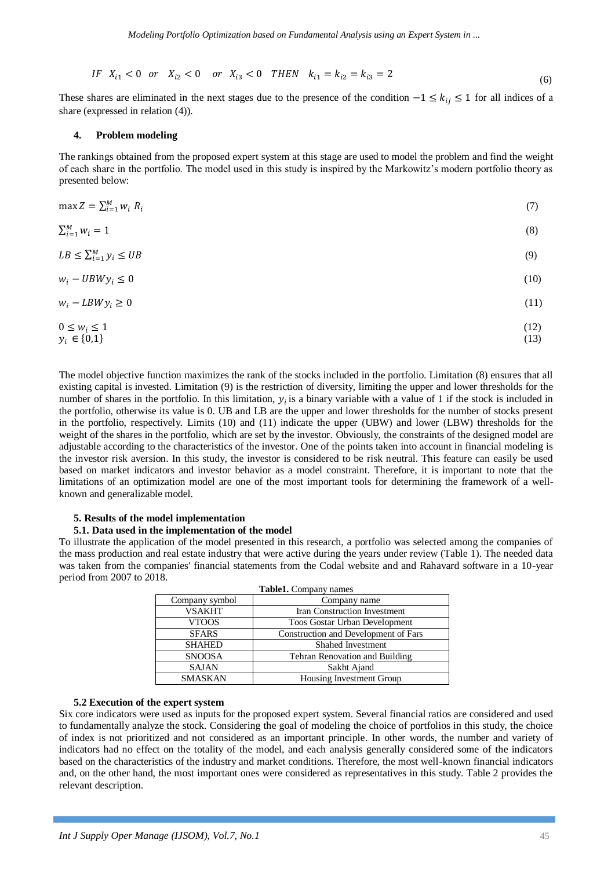$$
IF \ X_{i1} < 0 \ \text{or} \ \ X_{i2} < 0 \ \text{or} \ X_{i3} < 0 \ \text{THEN} \ k_{i1} = k_{i2} = k_{i3} = 2 \tag{6}
$$

These shares are eliminated in the next stages due to the presence of the condition  $-1 \le k_{ij} \le 1$  for all indices of a share (expressed in relation (4)).

## **4. Problem modeling**

The rankings obtained from the proposed expert system at this stage are used to model the problem and find the weight of each share in the portfolio. The model used in this study is inspired by the Markowitz's modern portfolio theory as presented below:

$$
\max Z = \sum_{i=1}^{M} w_i R_i \tag{7}
$$

$$
\sum_{i=1}^{M} w_i = 1 \tag{8}
$$

$$
LB \le \sum_{i=1}^{M} y_i \le UB \tag{9}
$$

$$
w_i - UBW y_i \le 0 \tag{10}
$$

$$
w_i - LBWy_i \ge 0 \tag{11}
$$

$$
0 \le w_i \le 1
$$
  
\n
$$
y_i \in \{0,1\}
$$
\n
$$
(12)
$$

The model objective function maximizes the rank of the stocks included in the portfolio. Limitation (8) ensures that all existing capital is invested. Limitation (9) is the restriction of diversity, limiting the upper and lower thresholds for the number of shares in the portfolio. In this limitation,  $y_i$  is a binary variable with a value of 1 if the stock is included in the portfolio, otherwise its value is 0. UB and LB are the upper and lower thresholds for the number of stocks present in the portfolio, respectively. Limits (10) and (11) indicate the upper (UBW) and lower (LBW) thresholds for the weight of the shares in the portfolio, which are set by the investor. Obviously, the constraints of the designed model are adjustable according to the characteristics of the investor. One of the points taken into account in financial modeling is the investor risk aversion. In this study, the investor is considered to be risk neutral. This feature can easily be used based on market indicators and investor behavior as a model constraint. Therefore, it is important to note that the limitations of an optimization model are one of the most important tools for determining the framework of a wellknown and generalizable model.

#### **5. Results of the model implementation**

#### **5.1. Data used in the implementation of the model**

To illustrate the application of the model presented in this research, a portfolio was selected among the companies of the mass production and real estate industry that were active during the years under review (Table 1). The needed data was taken from the companies' financial statements from the Codal website and and Rahavard software in a 10-year period from 2007 to 2018.

|                | Table1. Company names                |
|----------------|--------------------------------------|
| Company symbol | Company name                         |
| <b>VSAKHT</b>  | Iran Construction Investment         |
| <b>VTOOS</b>   | <b>Toos Gostar Urban Development</b> |
| <b>SFARS</b>   | Construction and Development of Fars |
| <b>SHAHED</b>  | Shahed Investment                    |
| <b>SNOOSA</b>  | Tehran Renovation and Building       |
| <b>SAJAN</b>   | Sakht Ajand                          |
| <b>SMASKAN</b> | Housing Investment Group             |

#### **5.2 Execution of the expert system**

Six core indicators were used as inputs for the proposed expert system. Several financial ratios are considered and used to fundamentally analyze the stock. Considering the goal of modeling the choice of portfolios in this study, the choice of index is not prioritized and not considered as an important principle. In other words, the number and variety of indicators had no effect on the totality of the model, and each analysis generally considered some of the indicators based on the characteristics of the industry and market conditions. Therefore, the most well-known financial indicators and, on the other hand, the most important ones were considered as representatives in this study. Table 2 provides the relevant description.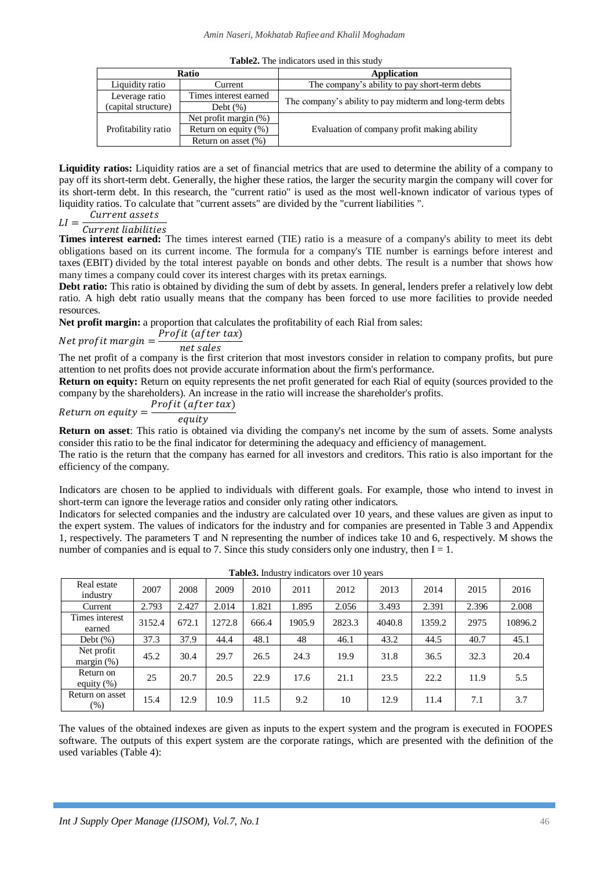|                     |                          | <b>THORSE</b> , The meneators as ex in this state        |
|---------------------|--------------------------|----------------------------------------------------------|
|                     | Ratio                    | <b>Application</b>                                       |
| Liquidity ratio     | Current                  | The company's ability to pay short-term debts            |
| Leverage ratio      | Times interest earned    | The company's ability to pay midterm and long-term debts |
| (capital structure) | Debt $(\%)$              |                                                          |
|                     | Net profit margin $(\%)$ |                                                          |
| Profitability ratio | Return on equity $(\% )$ | Evaluation of company profit making ability              |
|                     | Return on asset $(\% )$  |                                                          |

**Table2.** The indicators used in this study

**Liquidity ratios:** Liquidity ratios are a set of financial metrics that are used to determine the ability of a company to pay off its short-term debt. Generally, the higher these ratios, the larger the security margin the company will cover for its short-term debt. In this research, the "current ratio" is used as the most well-known indicator of various types of liquidity ratios. To calculate that "current assets" are divided by the "current liabilities ".

 $LI$ Current assets Current liabilities

**Times interest earned:** The times interest earned (TIE) ratio is a measure of a company's ability to meet its debt obligations based on its current income. The formula for a company's TIE number is earnings before interest and taxes (EBIT) divided by the total interest payable on bonds and other debts. The result is a number that shows how many times a company could cover its interest charges with its pretax earnings.

**Debt ratio:** This ratio is obtained by dividing the sum of debt by assets. In general, lenders prefer a relatively low debt ratio. A high debt ratio usually means that the company has been forced to use more facilities to provide needed resources.

**Net profit margin:** a proportion that calculates the profitability of each Rial from sales:

## Net prof it margin  $=\frac{P}{\tau}$ n

The net profit of a company is the first criterion that most investors consider in relation to company profits, but pure attention to net profits does not provide accurate information about the firm's performance.

**Return on equity:** Return on equity represents the net profit generated for each Rial of equity (sources provided to the company by the shareholders). An increase in the ratio will increase the shareholder's profits.

$$
Return on equity = \frac{Profit (after tax)}{equity}
$$

**Return on asset**: This ratio is obtained via dividing the company's net income by the sum of assets. Some analysts consider this ratio to be the final indicator for determining the adequacy and efficiency of management.

The ratio is the return that the company has earned for all investors and creditors. This ratio is also important for the efficiency of the company.

Indicators are chosen to be applied to individuals with different goals. For example, those who intend to invest in short-term can ignore the leverage ratios and consider only rating other indicators.

Indicators for selected companies and the industry are calculated over 10 years, and these values are given as input to the expert system. The values of indicators for the industry and for companies are presented in Table 3 and Appendix 1, respectively. The parameters T and N representing the number of indices take 10 and 6, respectively. M shows the number of companies and is equal to 7. Since this study considers only one industry, then  $I = 1$ .

|                             |        |       |        |       | <b>rapies.</b> Industry indicators over TO years |        |        |        |       |         |
|-----------------------------|--------|-------|--------|-------|--------------------------------------------------|--------|--------|--------|-------|---------|
| Real estate<br>industry     | 2007   | 2008  | 2009   | 2010  | 2011                                             | 2012   | 2013   | 2014   | 2015  | 2016    |
| Current                     | 2.793  | 2.427 | 2.014  | 1.821 | 1.895                                            | 2.056  | 3.493  | 2.391  | 2.396 | 2.008   |
| Times interest<br>earned    | 3152.4 | 672.1 | 1272.8 | 666.4 | 1905.9                                           | 2823.3 | 4040.8 | 1359.2 | 2975  | 10896.2 |
| Debt $(\%)$                 | 37.3   | 37.9  | 44.4   | 48.1  | 48                                               | 46.1   | 43.2   | 44.5   | 40.7  | 45.1    |
| Net profit<br>margin $(\%)$ | 45.2   | 30.4  | 29.7   | 26.5  | 24.3                                             | 19.9   | 31.8   | 36.5   | 32.3  | 20.4    |
| Return on<br>equity $(\%)$  | 25     | 20.7  | 20.5   | 22.9  | 17.6                                             | 21.1   | 23.5   | 22.2   | 11.9  | 5.5     |
| Return on asset<br>$(\%)$   | 15.4   | 12.9  | 10.9   | 11.5  | 9.2                                              | 10     | 12.9   | 11.4   | 7.1   | 3.7     |

**Table3.** Industry indicators over 10 years

The values of the obtained indexes are given as inputs to the expert system and the program is executed in FOOPES software. The outputs of this expert system are the corporate ratings, which are presented with the definition of the used variables (Table 4):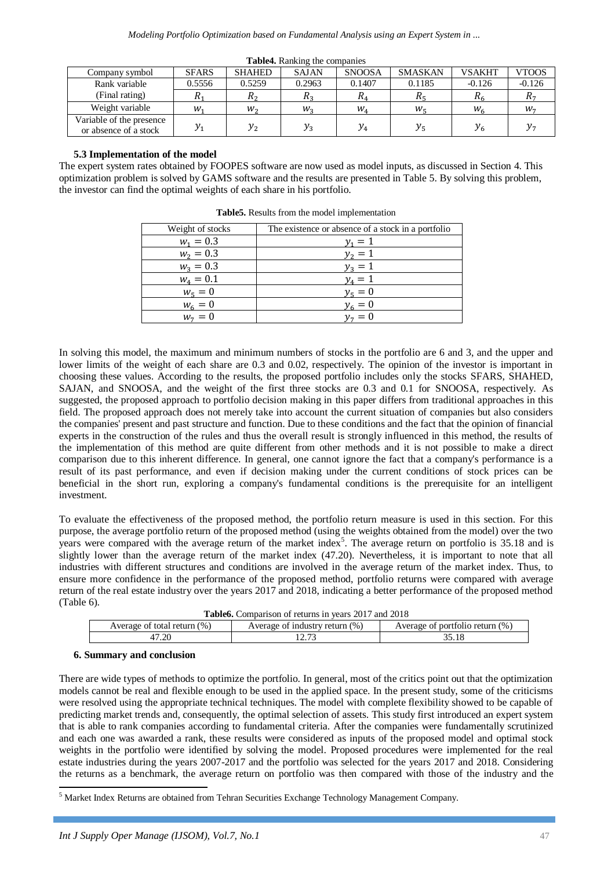| Company symbol                                    | <b>SFARS</b> | <b>SHAHED</b> | <b>SAJAN</b> | <b>SNOOSA</b> | <b>SMASKAN</b>   | <b>VSAKHT</b>  | <b>VTOOS</b> |
|---------------------------------------------------|--------------|---------------|--------------|---------------|------------------|----------------|--------------|
| Rank variable                                     | 0.5556       | 0.5259        | 0.2963       | 0.1407        | 0.1185           | $-0.126$       | $-0.126$     |
| (Final rating)                                    | л.           | $R_{2}$       | ۸o           |               | $R_{\epsilon}$   |                | $\mathbf{u}$ |
| Weight variable                                   | w,           | $W_2$         | $W_2$        | $W_{A}$       | $W_{\mathsf{c}}$ | $W_{\epsilon}$ | $W_7$        |
| Variable of the presence<br>or absence of a stock | $y_{1}$      | $y_{2}$       | $v_3$        | $y_4$         | y,               |                |              |

**Table4.** Ranking the companies

## **5.3 Implementation of the model**

The expert system rates obtained by FOOPES software are now used as model inputs, as discussed in Section 4. This optimization problem is solved by GAMS software and the results are presented in Table 5. By solving this problem, the investor can find the optimal weights of each share in his portfolio.

| Weight of stocks | The existence or absence of a stock in a portfolio |
|------------------|----------------------------------------------------|
| $W_1 = 0.3$      | $v_1 = 1$                                          |
| $W_2 = 0.3$      | $y_2 = 1$                                          |
| $W_3 = 0.3$      | $v_2 = 1$                                          |
| $W_4 = 0.1$      | $v_a=1$                                            |
| $w_5 = 0$        | $y_5 = 0$                                          |
| $W_6 = 0$        | $y_6 = 0$                                          |
| $w_7 = 0$        | $v_7 = 0$                                          |

**Table5.** Results from the model implementation

In solving this model, the maximum and minimum numbers of stocks in the portfolio are 6 and 3, and the upper and lower limits of the weight of each share are 0.3 and 0.02, respectively. The opinion of the investor is important in choosing these values. According to the results, the proposed portfolio includes only the stocks SFARS, SHAHED, SAJAN, and SNOOSA, and the weight of the first three stocks are 0.3 and 0.1 for SNOOSA, respectively. As suggested, the proposed approach to portfolio decision making in this paper differs from traditional approaches in this field. The proposed approach does not merely take into account the current situation of companies but also considers the companies' present and past structure and function. Due to these conditions and the fact that the opinion of financial experts in the construction of the rules and thus the overall result is strongly influenced in this method, the results of the implementation of this method are quite different from other methods and it is not possible to make a direct comparison due to this inherent difference. In general, one cannot ignore the fact that a company's performance is a result of its past performance, and even if decision making under the current conditions of stock prices can be beneficial in the short run, exploring a company's fundamental conditions is the prerequisite for an intelligent investment.

To evaluate the effectiveness of the proposed method, the portfolio return measure is used in this section. For this purpose, the average portfolio return of the proposed method (using the weights obtained from the model) over the two years were compared with the average return of the market index<sup>5</sup>. The average return on portfolio is  $35.18$  and is slightly lower than the average return of the market index (47.20). Nevertheless, it is important to note that all industries with different structures and conditions are involved in the average return of the market index. Thus, to ensure more confidence in the performance of the proposed method, portfolio returns were compared with average return of the real estate industry over the years 2017 and 2018, indicating a better performance of the proposed method (Table 6).

|                                | <b>Table6.</b> Comparison of returns in years 2017 and 2018 |                                 |
|--------------------------------|-------------------------------------------------------------|---------------------------------|
| Average of total return $(\%)$ | Average of industry return $(\%)$                           | Average of portfolio return (%) |
| 47.20                          |                                                             | 35.18                           |

## **6. Summary and conclusion**

 $\overline{a}$ 

There are wide types of methods to optimize the portfolio. In general, most of the critics point out that the optimization models cannot be real and flexible enough to be used in the applied space. In the present study, some of the criticisms were resolved using the appropriate technical techniques. The model with complete flexibility showed to be capable of predicting market trends and, consequently, the optimal selection of assets. This study first introduced an expert system that is able to rank companies according to fundamental criteria. After the companies were fundamentally scrutinized and each one was awarded a rank, these results were considered as inputs of the proposed model and optimal stock weights in the portfolio were identified by solving the model. Proposed procedures were implemented for the real estate industries during the years 2007-2017 and the portfolio was selected for the years 2017 and 2018. Considering the returns as a benchmark, the average return on portfolio was then compared with those of the industry and the

 $<sup>5</sup>$  Market Index Returns are obtained from Tehran Securities Exchange Technology Management Company.</sup>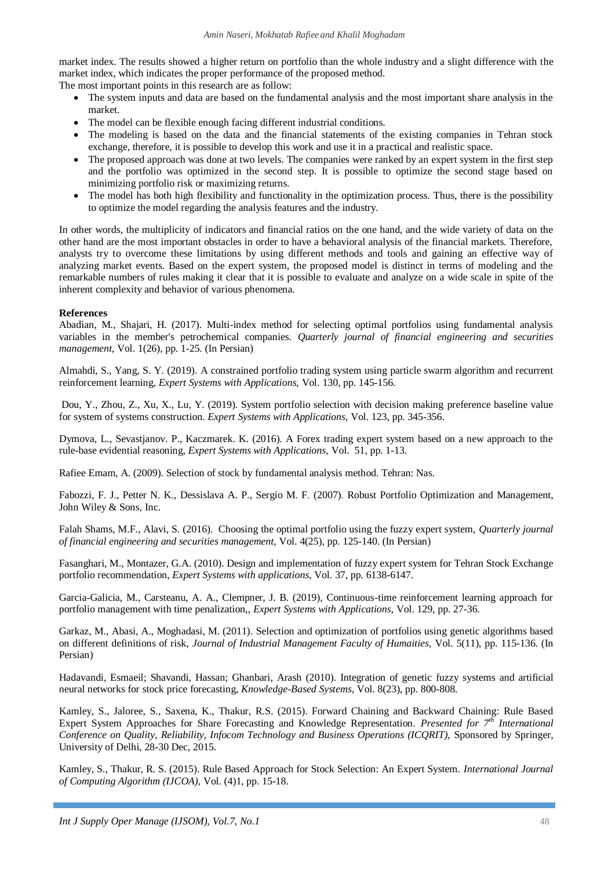market index. The results showed a higher return on portfolio than the whole industry and a slight difference with the market index, which indicates the proper performance of the proposed method.

The most important points in this research are as follow:

- The system inputs and data are based on the fundamental analysis and the most important share analysis in the market.
- The model can be flexible enough facing different industrial conditions.
- The modeling is based on the data and the financial statements of the existing companies in Tehran stock exchange, therefore, it is possible to develop this work and use it in a practical and realistic space.
- The proposed approach was done at two levels. The companies were ranked by an expert system in the first step and the portfolio was optimized in the second step. It is possible to optimize the second stage based on minimizing portfolio risk or maximizing returns.
- The model has both high flexibility and functionality in the optimization process. Thus, there is the possibility to optimize the model regarding the analysis features and the industry.

In other words, the multiplicity of indicators and financial ratios on the one hand, and the wide variety of data on the other hand are the most important obstacles in order to have a behavioral analysis of the financial markets. Therefore, analysts try to overcome these limitations by using different methods and tools and gaining an effective way of analyzing market events. Based on the expert system, the proposed model is distinct in terms of modeling and the remarkable numbers of rules making it clear that it is possible to evaluate and analyze on a wide scale in spite of the inherent complexity and behavior of various phenomena.

## **References**

Abadian, M., Shajari, H. (2017). Multi-index method for selecting optimal portfolios using fundamental analysis variables in the member's petrochemical companies. *Quarterly journal of financial engineering and securities management,* Vol. 1(26), pp. 1-25. (In Persian)

Almahdi, S., Yang, S. Y. (2019). A constrained portfolio trading system using particle swarm algorithm and recurrent reinforcement learning, *Expert Systems with Applications,* Vol. 130, pp. 145-156.

Dou, Y., Zhou, Z., Xu, X., Lu, Y. (2019). System portfolio selection with decision making preference baseline value for system of systems construction. *Expert Systems with Applications,* Vol. 123, pp. 345-356.

Dymova, L., Sevastjanov. P., Kaczmarek. K. (2016). A Forex trading expert system based on a new approach to the rule-base evidential reasoning, *Expert Systems with Applications,* Vol. 51, pp. 1-13.

Rafiee Emam, A. (2009). Selection of stock by fundamental analysis method. Tehran: Nas.

Fabozzi, F. J., Petter N. K., Dessislava A. P., Sergio M. F. (2007). Robust Portfolio Optimization and Management, John Wiley & Sons, Inc.

Falah Shams, M.F., Alavi, S. (2016). Choosing the optimal portfolio using the fuzzy expert system, *Quarterly journal of financial engineering and securities management,* Vol. 4(25), pp. 125-140. (In Persian)

Fasanghari, M., Montazer, G.A. (2010). Design and implementation of fuzzy expert system for Tehran Stock Exchange portfolio recommendation, *Expert Systems with applications*, Vol. 37, pp. 6138-6147.

Garcia-Galicia, M., Carsteanu, A. A., Clempner, J. B. (2019), Continuous-time reinforcement learning approach for portfolio management with time penalization,, *Expert Systems with Applications,* Vol. 129, pp. 27-36.

Garkaz, M., Abasi, A., Moghadasi, M. (2011). Selection and optimization of portfolios using genetic algorithms based on different definitions of risk, *Journal of Industrial Management Faculty of Humaities,* Vol. 5(11), pp. 115-136. (In Persian)

Hadavandi, Esmaeil; Shavandi, Hassan; Ghanbari, Arash (2010). Integration of genetic fuzzy systems and artificial neural networks for stock price forecasting, *Knowledge-Based Systems*, Vol. 8(23), pp. 800-808.

Kamley, S., Jaloree, S., Saxena, K., Thakur, R.S. (2015). Forward Chaining and Backward Chaining: Rule Based Expert System Approaches for Share Forecasting and Knowledge Representation. *Presented for* 7<sup>th</sup> International *Conference on Quality, Reliability, Infocom Technology and Business Operations (ICQRIT), Sponsored by Springer,* University of Delhi, 28-30 Dec, 2015.

Kamley, S., Thakur, R. S. (2015). Rule Based Approach for Stock Selection: An Expert System. *International Journal of Computing Algorithm (IJCOA),* Vol. (4)1, pp. 15-18.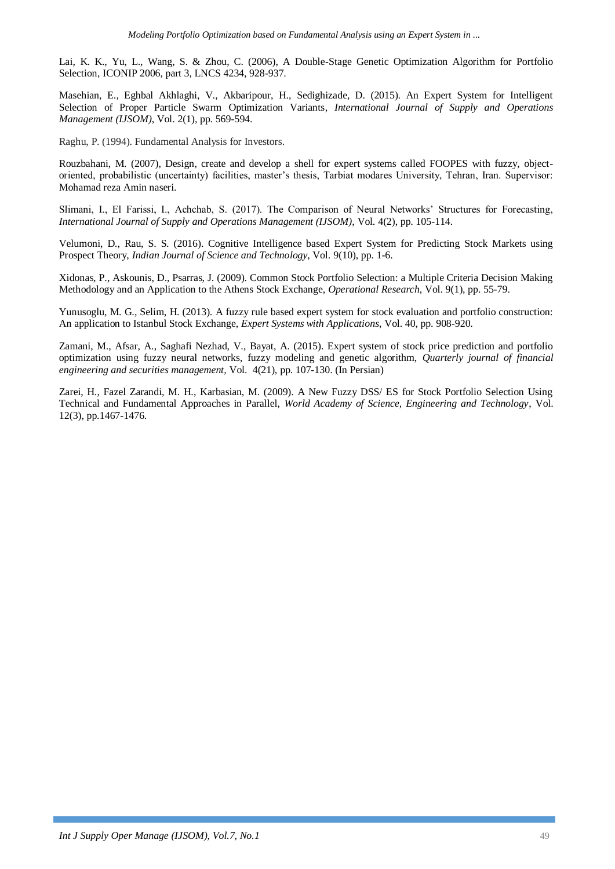Lai, K. K., Yu, L., Wang, S. & Zhou, C. (2006), A Double-Stage Genetic Optimization Algorithm for Portfolio Selection, ICONIP 2006, part 3, LNCS 4234, 928-937.

Masehian, E., Eghbal Akhlaghi, V., Akbaripour, H., Sedighizade, D. (2015). An Expert System for Intelligent Selection of Proper Particle Swarm Optimization Variants*, International Journal of Supply and Operations Management (IJSOM)*, Vol. 2(1), pp. 569-594.

Raghu, P. (1994). Fundamental Analysis for Investors.

Rouzbahani, M. (2007), Design, create and develop a shell for expert systems called FOOPES with fuzzy, objectoriented, probabilistic (uncertainty) facilities, master's thesis, Tarbiat modares University, Tehran, Iran. Supervisor: Mohamad reza Amin naseri.

Slimani, I., El Farissi, I., Achchab, S. (2017). The Comparison of Neural Networks' Structures for Forecasting, *International Journal of Supply and Operations Management (IJSOM)*, Vol. 4(2), pp. 105-114.

Velumoni, D., Rau, S. S. (2016). Cognitive Intelligence based Expert System for Predicting Stock Markets using Prospect Theory, *Indian Journal of Science and Technology,* Vol. 9(10), pp. 1-6.

Xidonas, P., Askounis, D., Psarras, J. (2009). Common Stock Portfolio Selection: a Multiple Criteria Decision Making Methodology and an Application to the Athens Stock Exchange, *Operational Research*, Vol. 9(1), pp. 55-79.

Yunusoglu, M. G., Selim, H. (2013). A fuzzy rule based expert system for stock evaluation and portfolio construction: An application to Istanbul Stock Exchange, *Expert Systems with Applications*, Vol. 40, pp. 908-920.

Zamani, M., Afsar, A., Saghafi Nezhad, V., Bayat, A. (2015). Expert system of stock price prediction and portfolio optimization using fuzzy neural networks, fuzzy modeling and genetic algorithm, *Quarterly journal of financial engineering and securities management,* Vol. 4(21), pp. 107-130. (In Persian)

Zarei, H., Fazel Zarandi, M. H., Karbasian, M. (2009). A New Fuzzy DSS/ ES for Stock Portfolio Selection Using Technical and Fundamental Approaches in Parallel, *World Academy of Science, Engineering and Technology*, Vol. 12(3), pp.1467-1476.